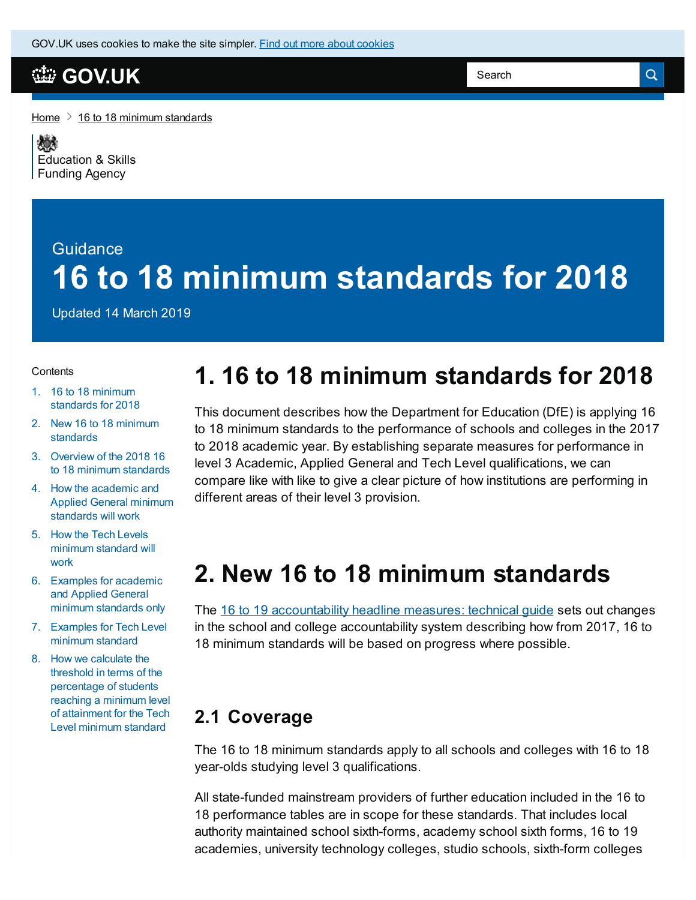#### **[GOV.UK](https://www.gov.uk)**

[Home](https://www.gov.uk/)  $\geq 16$  to 18 minimum [standards](https://www.gov.uk/government/publications/16-to-18-minimum-standards)

嫁 [Education](https://www.gov.uk/government/organisations/education-and-skills-funding-agency) & Skills **Funding Agency** 

### **Guidance 16 to 18 minimum standards for 2018**

Updated 14 March 2019

#### **Contents**

- 1. 16 to 18 minimum [standards](#page-0-0) for 2018
- 2. New 16 to 18 minimum [standards](#page-0-1)
- 3. Overview of the 2018 16 to 18 minimum [standards](#page-1-0)
- 4. How the [academic](#page-1-1) and Applied General minimum standards will work
- 5. How the Tech Levels [minimum](#page-2-0) standard will work
- 6. [Examples](#page-2-1) for academic and Applied General minimum standards only
- 7. [Examples](#page-3-0) for Tech Level minimum standard
- 8. How we calculate the threshold in terms of the [percentage](#page-3-1) of students reaching a minimum level of attainment for the Tech Level minimum standard

# <span id="page-0-0"></span>**1. 16 to 18 minimum standards for 2018**

This document describes how the Department for Education (DfE) is applying 16 to 18 minimum standards to the performance of schools and colleges in the 2017 to 2018 academic year. By establishing separate measures for performance in level 3 Academic, Applied General and Tech Level qualifications, we can compare like with like to give a clear picture of how institutions are performing in different areas of their level 3 provision.

#### <span id="page-0-1"></span>**2. New 16 to 18 minimum standards**

The 16 to 19 [accountability](https://www.gov.uk/government/publications/16-to-19-accountability-headline-measures-technical-guide) headline measures: technical guide sets out changes in the school and college accountability system describing how from 2017, 16 to 18 minimum standards will be based on progress where possible.

#### **2.1 Coverage**

The 16 to 18 minimum standards apply to all schools and colleges with 16 to 18 year-olds studying level 3 qualifications.

All state-funded mainstream providers of further education included in the 16 to 18 performance tables are in scope for these standards. That includes local authority maintained school sixth-forms, academy school sixth forms, 16 to 19 academies, university technology colleges, studio schools, sixth-form colleges

 $\alpha$ 

Search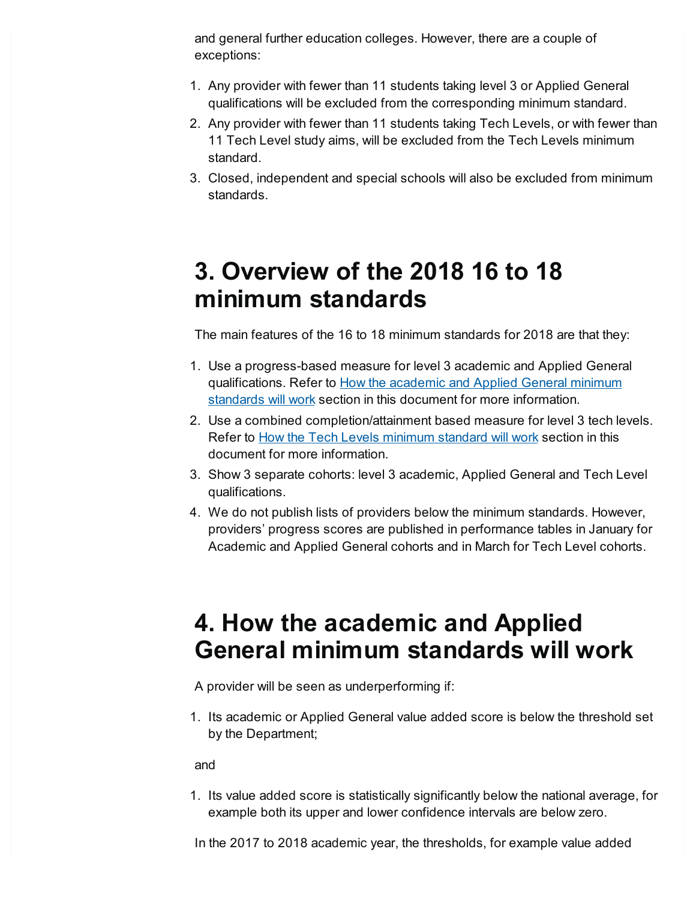and general further education colleges. However, there are a couple of exceptions:

- 1. Any provider with fewer than 11 students taking level 3 or Applied General qualifications will be excluded from the corresponding minimum standard.
- 2. Any provider with fewer than 11 students taking Tech Levels, or with fewer than 11 Tech Level study aims, will be excluded from the Tech Levels minimum standard.
- 3. Closed, independent and special schools will also be excluded from minimum standards.

### <span id="page-1-0"></span>**3. Overview of the 2018 16 to 18 minimum standards**

The main features of the 16 to 18 minimum standards for 2018 are that they:

- 1. Use a progress-based measure for level 3 academic and Applied General [qualifications.](#page-1-1) Refer to How the academic and Applied General minimum standards will work section in this document for more information.
- 2. Use a combined completion/attainment based measure for level 3 tech levels. Refer to How the Tech Levels [minimum](#page-2-0) standard will work section in this document for more information.
- 3. Show 3 separate cohorts: level 3 academic, Applied General and Tech Level qualifications.
- 4. We do not publish lists of providers below the minimum standards. However, providers' progress scores are published in performance tables in January for Academic and Applied General cohorts and in March for Tech Level cohorts.

### <span id="page-1-1"></span>**4. How the academic and Applied General minimum standards will work**

A provider will be seen as underperforming if:

1. Its academic or Applied General value added score is below the threshold set by the Department;

and

1. Its value added score is statistically significantly below the national average, for example both its upper and lower confidence intervals are below zero.

In the 2017 to 2018 academic year, the thresholds, for example value added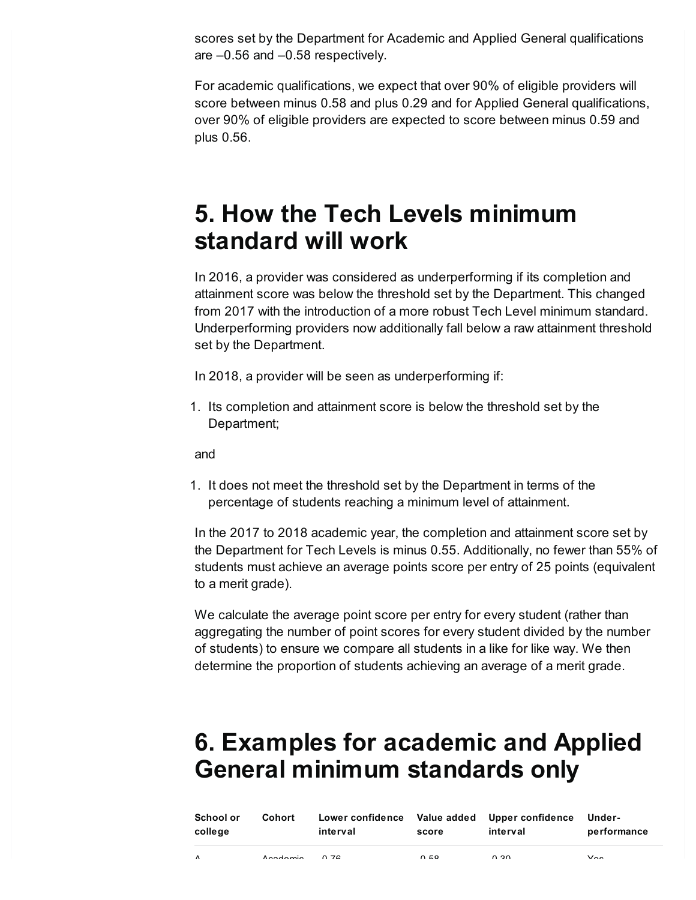scores set by the Department for Academic and Applied General qualifications are –0.56 and –0.58 respectively.

For academic qualifications, we expect that over 90% of eligible providers will score between minus 0.58 and plus 0.29 and for Applied General qualifications, over 90% of eligible providers are expected to score between minus 0.59 and plus 0.56.

## <span id="page-2-0"></span>**5. How the Tech Levels minimum standard will work**

In 2016, a provider was considered as underperforming if its completion and attainment score was below the threshold set by the Department. This changed from 2017 with the introduction of a more robust Tech Level minimum standard. Underperforming providers now additionally fall below a raw attainment threshold set by the Department.

In 2018, a provider will be seen as underperforming if:

1. Its completion and attainment score is below the threshold set by the Department;

and

1. It does not meet the threshold set by the Department in terms of the percentage of students reaching a minimum level of attainment.

In the 2017 to 2018 academic year, the completion and attainment score set by the Department for Tech Levels is minus 0.55. Additionally, no fewer than 55% of students must achieve an average points score per entry of 25 points (equivalent to a merit grade).

We calculate the average point score per entry for every student (rather than aggregating the number of point scores for every student divided by the number of students) to ensure we compare all students in a like for like way. We then determine the proportion of students achieving an average of a merit grade.

# <span id="page-2-1"></span>**6. Examples for academic and Applied General minimum standards only**

| School or<br>college | Cohort               | interval  | score | Lower confidence Value added Upper confidence<br>interval | Under-<br>performance |
|----------------------|----------------------|-----------|-------|-----------------------------------------------------------|-----------------------|
| $\lambda$            | $A = A + \text{max}$ | $\sim$ 70 | 0.50  | 0.20                                                      | $\sqrt{2}$            |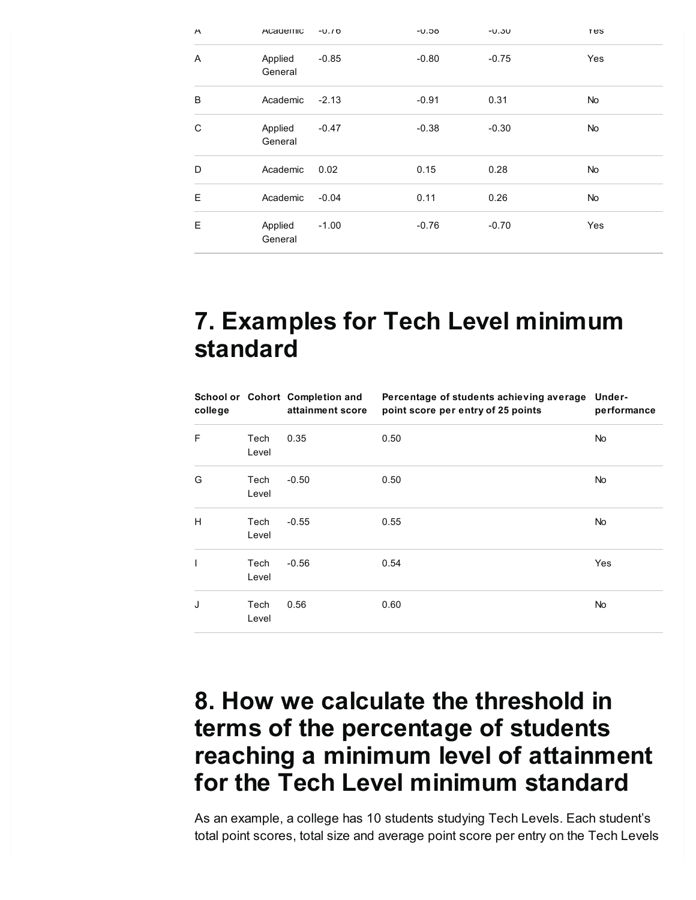| $\overline{\phantom{a}}$ | Academic           | $-U.10$ | $-0.56$ | $-0.30$ | res |
|--------------------------|--------------------|---------|---------|---------|-----|
| A                        | Applied<br>General | $-0.85$ | $-0.80$ | $-0.75$ | Yes |
| B                        | Academic           | $-2.13$ | $-0.91$ | 0.31    | No  |
| C                        | Applied<br>General | $-0.47$ | $-0.38$ | $-0.30$ | No  |
| D                        | Academic           | 0.02    | 0.15    | 0.28    | No  |
| E                        | Academic           | $-0.04$ | 0.11    | 0.26    | No  |
| E                        | Applied<br>General | $-1.00$ | $-0.76$ | $-0.70$ | Yes |

### <span id="page-3-0"></span>**7. Examples for Tech Level minimum standard**

| college |               | School or Cohort Completion and<br>attainment score | Percentage of students achieving average<br>point score per entry of 25 points | Under-<br>performance |
|---------|---------------|-----------------------------------------------------|--------------------------------------------------------------------------------|-----------------------|
| F       | Tech<br>Level | 0.35                                                | 0.50                                                                           | No                    |
| G       | Tech<br>Level | $-0.50$                                             | 0.50                                                                           | No                    |
| н       | Tech<br>Level | $-0.55$                                             | 0.55                                                                           | <b>No</b>             |
| T       | Tech<br>Level | $-0.56$                                             | 0.54                                                                           | Yes                   |
| J       | Tech<br>Level | 0.56                                                | 0.60                                                                           | <b>No</b>             |

## <span id="page-3-1"></span>**8. How we calculate the threshold in terms of the percentage of students reaching a minimum level of attainment for the Tech Level minimum standard**

As an example, a college has 10 students studying Tech Levels. Each student's total point scores, total size and average point score per entry on the Tech Levels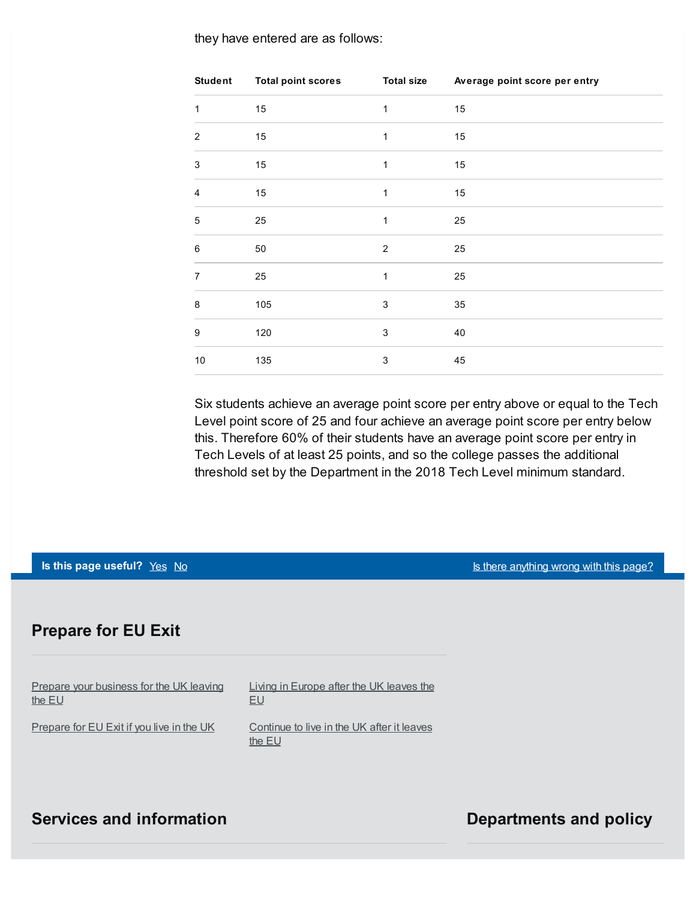they have entered are as follows:

| <b>Student</b>   | <b>Total point scores</b> | <b>Total size</b> | Average point score per entry |
|------------------|---------------------------|-------------------|-------------------------------|
| 1                | 15                        | $\mathbf{1}$      | 15                            |
| $\overline{2}$   | 15                        | 1                 | 15                            |
| 3                | 15                        | $\mathbf{1}$      | 15                            |
| $\overline{4}$   | 15                        | $\mathbf{1}$      | 15                            |
| 5                | 25                        | 1                 | 25                            |
| $\,6$            | 50                        | $\overline{2}$    | 25                            |
| $\overline{7}$   | 25                        | $\mathbf{1}$      | 25                            |
| 8                | 105                       | $\mathsf 3$       | 35                            |
| $\boldsymbol{9}$ | 120                       | 3                 | 40                            |
| $10$             | 135                       | 3                 | 45                            |

Six students achieve an average point score per entry above or equal to the Tech Level point score of 25 and four achieve an average point score per entry below this. Therefore 60% of their students have an average point score per entry in Tech Levels of at least 25 points, and so the college passes the additional threshold set by the Department in the 2018 Tech Level minimum standard.

**Is this page useful?** [Yes](https://www.gov.uk/contact/govuk) [No](https://www.gov.uk/contact/govuk) Is the No Is the *Legislation* of the *Islands and Islamic Legislation* of *Islamic Legislation* of *Islamic Legislation no Islamic Legislation no Islamic Legislation* **<b>***no Islamic Legi* 

#### **Prepare for EU Exit**

Prepare your [business](https://www.gov.uk/business-uk-leaving-eu) for the UK leaving the EU [Prepare](https://www.gov.uk/prepare-eu-exit) for EU Exit if you live in the UK EU

Living in [Europe](https://www.gov.uk/uk-nationals-living-eu) after the UK leaves the

[Continue](https://www.gov.uk/staying-uk-eu-citizen) to live in the UK after it leaves the EU

#### **Services** and information **Departments** and policy